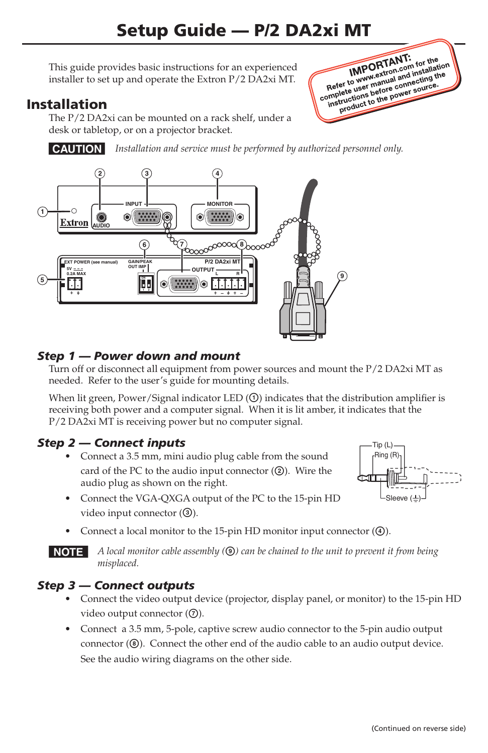This guide provides basic instructions for an experienced installer to set up and operate the Extron P/2 DA2xi MT.

# Installation

The P/2 DA2xi can be mounted on a rack shelf, under a desk or tabletop, or on a projector bracket.

**CAUTION** Installation and service must be performed by authorized personnel only.



## *Step 1 — Power down and mount*

Turn off or disconnect all equipment from power sources and mount the P/2 DA2xi MT as needed. Refer to the user's guide for mounting details.

When lit green, Power/Signal indicator LED  $(\mathbb{O})$  indicates that the distribution amplifier is receiving both power and a computer signal. When it is lit amber, it indicates that the P/2 DA2xi MT is receiving power but no computer signal.

## *Step 2 — Connect inputs*

**•**  Connect a 3.5 mm, mini audio plug cable from the sound card of the PC to the audio input connector  $(Q)$ . Wire the audio plug as shown on the right.



Ring (R) Tip (L)

**IMPORTANT:**<br> **IMPORTANT:** for the<br> **Refer to www.skton.com** installation<br>
Refer to www.skton.com source. **IMPORTANT: IMPORTANT:** for the ion<br>
Refer to www.extron.com installand the<br>
Refer to user manual and installand the<br>
complete user manual and source. IMPOLATIon community<br>Refer to www.wextron.community.net<br>amplete user manual and community.org<br>instructions before power source. fer to www.winanual annecting to<br>plete user before connecting to<br>structions before cower source.<br>product to the power source.

- **•**  Connect the VGA-QXGA output of the PC to the 15-pin HD video input connector  $(③)$ .
- Connect a local monitor to the 15-pin HD monitor input connector ( $\circled{4}$ ).

**NOTE** A local monitor cable assembly (**I**) can be chained to the unit to prevent it from being *misplaced.*

## *Step 3 — Connect outputs*

- **•**  Connect the video output device (projector, display panel, or monitor) to the 15-pin HD video output connector  $(③)$ .
- **•**  Connect a 3.5 mm, 5-pole, captive screw audio connector to the 5-pin audio output connector  $(\circledast)$ . Connect the other end of the audio cable to an audio output device. See the audio wiring diagrams on the other side.